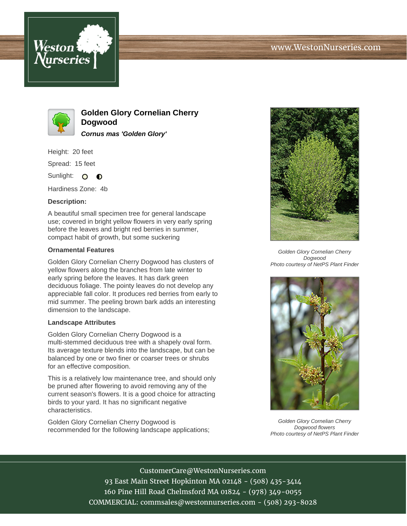



**Golden Glory Cornelian Cherry Dogwood Cornus mas 'Golden Glory'**

Height: 20 feet

Spread: 15 feet

Sunlight: O  $\bullet$ 

Hardiness Zone: 4b

## **Description:**

A beautiful small specimen tree for general landscape use; covered in bright yellow flowers in very early spring before the leaves and bright red berries in summer, compact habit of growth, but some suckering

## **Ornamental Features**

Golden Glory Cornelian Cherry Dogwood has clusters of yellow flowers along the branches from late winter to early spring before the leaves. It has dark green deciduous foliage. The pointy leaves do not develop any appreciable fall color. It produces red berries from early to mid summer. The peeling brown bark adds an interesting dimension to the landscape.

## **Landscape Attributes**

Golden Glory Cornelian Cherry Dogwood is a multi-stemmed deciduous tree with a shapely oval form. Its average texture blends into the landscape, but can be balanced by one or two finer or coarser trees or shrubs for an effective composition.

This is a relatively low maintenance tree, and should only be pruned after flowering to avoid removing any of the current season's flowers. It is a good choice for attracting birds to your yard. It has no significant negative characteristics.

Golden Glory Cornelian Cherry Dogwood is recommended for the following landscape applications;



Golden Glory Cornelian Cherry Dogwood Photo courtesy of NetPS Plant Finder



Golden Glory Cornelian Cherry Dogwood flowers Photo courtesy of NetPS Plant Finder

CustomerCare@WestonNurseries.com 93 East Main Street Hopkinton MA 02148 - (508) 435-3414 160 Pine Hill Road Chelmsford MA 01824 - (978) 349-0055 COMMERCIAL: commsales@westonnurseries.com - (508) 293-8028